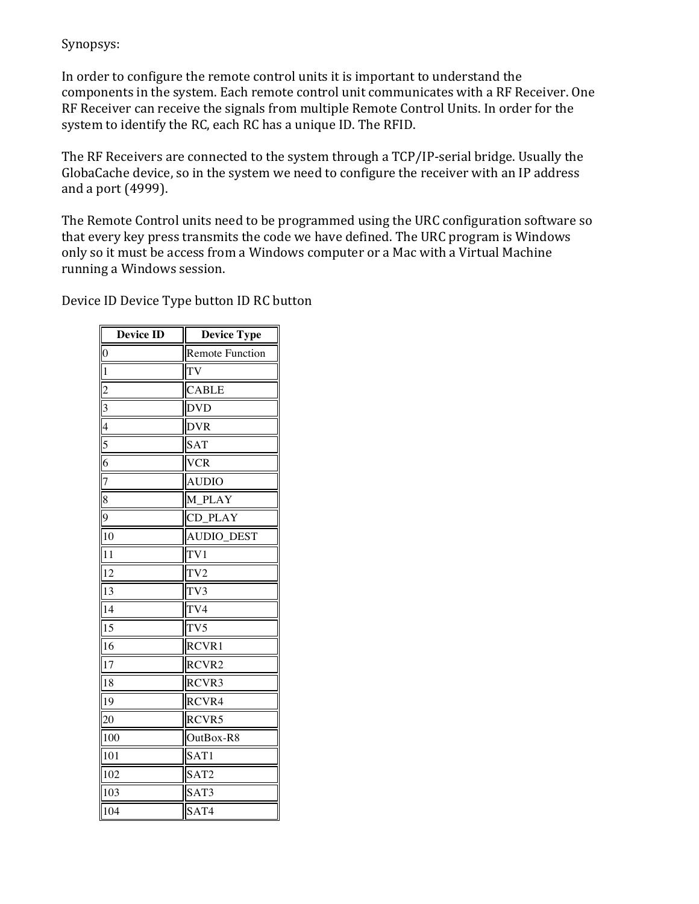## Synopsys:

In order to configure the remote control units it is important to understand the components in the system. Each remote control unit communicates with a RF Receiver. One RF Receiver can receive the signals from multiple Remote Control Units. In order for the system to identify the RC, each RC has a unique ID. The RFID.

The RF Receivers are connected to the system through a TCP/IP-serial bridge. Usually the GlobaCache device, so in the system we need to configure the receiver with an IP address and a port  $(4999)$ .

The Remote Control units need to be programmed using the URC configuration software so that every key press transmits the code we have defined. The URC program is Windows only so it must be access from a Windows computer or a Mac with a Virtual Machine running a Windows session.

Device ID Device Type button ID RC button

| <b>Device ID</b>         | <b>Device Type</b>     |
|--------------------------|------------------------|
| $\boldsymbol{0}$         | <b>Remote Function</b> |
| $\mathbf{1}$             | TV                     |
| $\overline{2}$           | <b>CABLE</b>           |
| $\overline{\mathbf{3}}$  | <b>DVD</b>             |
| $\overline{\mathcal{A}}$ | <b>DVR</b>             |
| 5                        | <b>SAT</b>             |
| 6                        | <b>VCR</b>             |
| $\overline{7}$           | <b>AUDIO</b>           |
| 8                        | M PLAY                 |
| $\overline{9}$           | CD_PLAY                |
| 10                       | <b>AUDIO_DEST</b>      |
| 11                       | TV <sub>1</sub>        |
| 12                       | TV <sub>2</sub>        |
| 13                       | TV3                    |
| 14                       | TV4                    |
| 15                       | TV <sub>5</sub>        |
| 16                       | RCVR1                  |
| 17                       | RCVR2                  |
| 18                       | RCVR3                  |
| 19                       | RCVR4                  |
| 20                       | RCVR5                  |
| 100                      | OutBox-R8              |
| 101                      | SAT1                   |
| 102                      | SAT <sub>2</sub>       |
| 103                      | SAT3                   |
| 104                      | SAT4                   |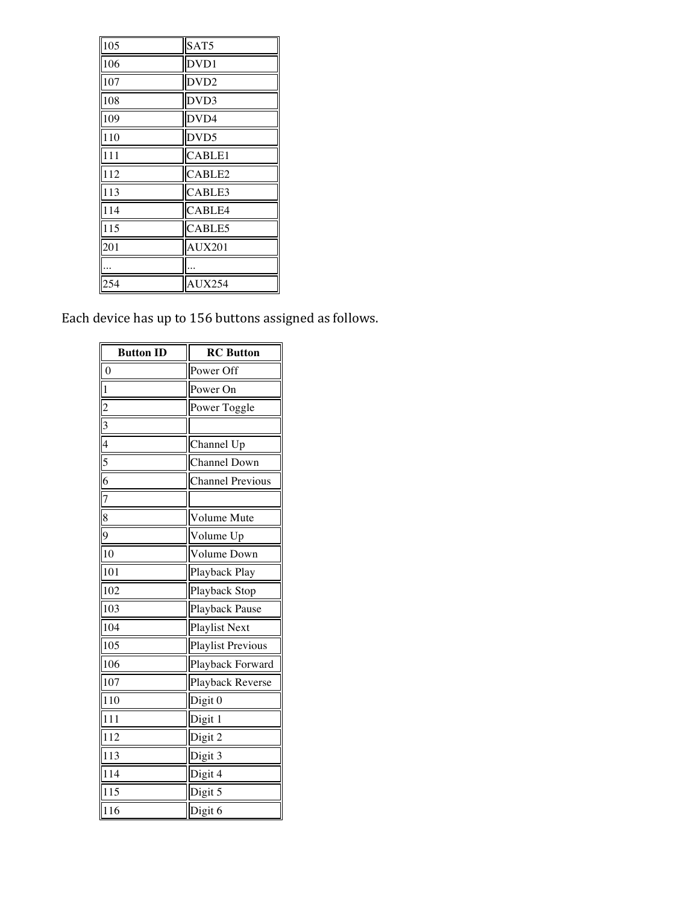| 105 | SAT5             |
|-----|------------------|
| 106 | DVD1             |
| 107 | DVD <sub>2</sub> |
| 108 | DVD3             |
| 109 | DVD4             |
| 110 | DVD5             |
| 111 | CABLE1           |
| 112 | CABLE2           |
| 113 | CABLE3           |
| 114 | CABLE4           |
| 115 | CABLE5           |
| 201 | <b>AUX201</b>    |
|     |                  |
| 254 | <b>AUX254</b>    |

Each device has up to 156 buttons assigned as follows.

| <b>Button ID</b>                                                      | <b>RC</b> Button         |
|-----------------------------------------------------------------------|--------------------------|
| $\boldsymbol{0}$                                                      | Power Off                |
| $\frac{1}{2}$                                                         | Power On                 |
|                                                                       | Power Toggle             |
|                                                                       |                          |
|                                                                       | Channel Up               |
| $\frac{2}{3}$ $\frac{3}{4}$ $\frac{4}{5}$ $\frac{5}{6}$ $\frac{6}{7}$ | Channel Down             |
|                                                                       | <b>Channel Previous</b>  |
|                                                                       |                          |
| $\overline{8}$                                                        | Volume Mute              |
| $\overline{9}$                                                        | Volume Up                |
| $\overline{10}$                                                       | Volume Down              |
| $\overline{101}$                                                      | Playback Play            |
| 102                                                                   | Playback Stop            |
| 103                                                                   | Playback Pause           |
| 104                                                                   | <b>Playlist Next</b>     |
| 105                                                                   | <b>Playlist Previous</b> |
| 106                                                                   | Playback Forward         |
| 107                                                                   | Playback Reverse         |
| 110                                                                   | Digit 0                  |
| -<br>111                                                              | Digit 1                  |
| 112                                                                   | Digit 2                  |
| 113                                                                   | Digit 3                  |
| -<br>114                                                              | Digit 4                  |
| 115                                                                   | Digit 5                  |
| 116                                                                   | Digit 6                  |